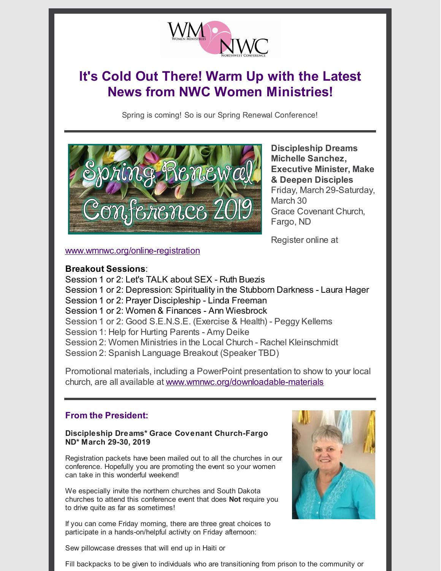

# **It's Cold Out There! Warm Up with the Latest News from NWC Women Ministries!**

Spring is coming! So is our Spring Renewal Conference!



**Discipleship Dreams Michelle Sanchez, Executive Minister, Make & Deepen Disciples** Friday, March 29-Saturday, March 30 Grace Covenant Church, Fargo, ND

Register online at

[www.wmnwc.org/online-registration](http://www.wmnwc.org/online-registration)

## **Breakout Sessions**:

Session 1 or 2: Let's TALK about SEX - Ruth Buezis Session 1 or 2: Depression: Spirituality in the Stubborn Darkness - Laura Hager Session 1 or 2: Prayer Discipleship - Linda Freeman Session 1 or 2: Women & Finances - Ann Wiesbrock Session 1 or 2: Good S.E.N.S.E. (Exercise & Health) - Peggy Kellems Session 1: Help for Hurting Parents - Amy Deike Session 2: Women Ministries in the Local Church - Rachel Kleinschmidt Session 2: Spanish Language Breakout (Speaker TBD)

Promotional materials, including a PowerPoint presentation to show to your local church, are all available at [www.wmnwc.org/downloadable-materials](http://www.wmnwc.org/downloadable-materials)

# **From the President:**

#### **Discipleship Dreams\* Grace Covenant Church-Fargo ND\* March 29-30, 2019**

Registration packets have been mailed out to all the churches in our conference. Hopefully you are promoting the event so your women can take in this wonderful weekend!

We especially invite the northern churches and South Dakota churches to attend this conference event that does **Not** require you to drive quite as far as sometimes!

If you can come Friday morning, there are three great choices to participate in a hands-on/helpful activity on Friday afternoon:



Sew pillowcase dresses that will end up in Haiti or

Fill backpacks to be given to individuals who are transitioning from prison to the community or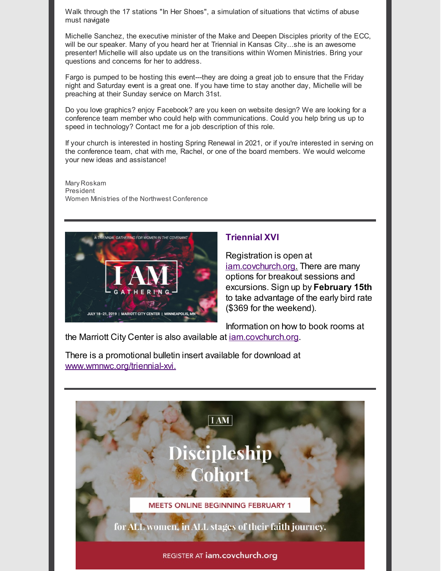Walk through the 17 stations "In Her Shoes", a simulation of situations that victims of abuse must navigate

Michelle Sanchez, the executive minister of the Make and Deepen Disciples priority of the ECC, will be our speaker. Many of you heard her at Triennial in Kansas City...she is an awesome presenter! Michelle will also update us on the transitions within Women Ministries. Bring your questions and concerns for her to address.

Fargo is pumped to be hosting this event---they are doing a great job to ensure that the Friday night and Saturday event is a great one. If you have time to stay another day, Michelle will be preaching at their Sunday service on March 31st.

Do you love graphics? enjoy Facebook? are you keen on website design? We are looking for a conference team member who could help with communications. Could you help bring us up to speed in technology? Contact me for a job description of this role.

If your church is interested in hosting Spring Renewal in 2021, or if you're interested in serving on the conference team, chat with me, Rachel, or one of the board members. We would welcome your new ideas and assistance!

Mary Roskam President Women Ministries of the Northwest Conference



## **Triennial XVI**

Registration is open at [iam.covchurch.org.](http://iam.covchurch.org) There are many options for breakout sessions and excursions. Sign up by **February 15th** to take advantage of the early bird rate (\$369 for the weekend).

Information on how to book rooms at

the Marriott City Center is also available at [iam.covchurch.org](http://iam.covchurch.org).

There is a promotional bulletin insert available for download at [www.wmnwc.org/triennial-xvi.](http://www.wmnwc.org/triennial-xvi)

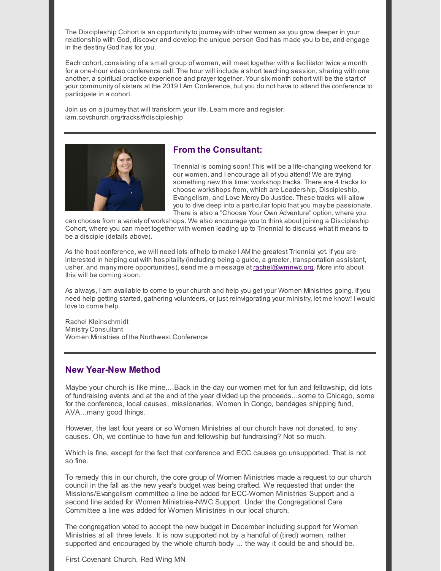The Discipleship Cohort is an opportunityto journey with other women as you grow deeper in your relationship with God, discover and develop the unique person God has made you to be, and engage in the destiny God has for you.

Each cohort, consisting of a small group of women, will meet together with a facilitator twice a month for a one-hour video conference call. The hour will include a short teaching session, sharing with one another, a spiritual practice experience and prayer together. Your six-month cohort will be the start of your community of sisters at the 2019 I Am Conference, but you do not have to attend the conference to participate in a cohort.

Join us on a journey that will transform your life. Learn more and register: iam.covchurch.org/tracks/#discipleship



#### **From the Consultant:**

Triennial is coming soon! This will be a life-changing weekend for our women, and I encourage all of you attend! We are trying something new this time: workshop tracks. There are 4 tracks to choose workshops from, which are Leadership, Discipleship, Evangelism, and Love Mercy Do Justice. These tracks will allow you to dive deep into a particular topic that you may be passionate. There is also a "Choose Your Own Adventure" option, where you

can choose from a variety of workshops. We also encourage you to think about joining a Discipleship Cohort, where you can meet together with women leading up to Triennial to discuss what it means to be a disciple (details above).

As the host conference, we will need lots of help to make I AM the greatest Triennial yet. If you are interested in helping out with hospitality(including being a guide, a greeter, transportation assistant, usher, and many more opportunities), send me a message at [rachel@wmnwc.org](mailto:rachel@wmnwc.org). More info about this will be coming soon.

As always, I am available to come to your church and help you get your Women Ministries going. If you need help getting started, gathering volunteers, or just reinvigorating your ministry, let me know! I would love to come help.

Rachel Kleinschmidt Ministry Consultant Women Ministries of the Northwest Conference

#### **New Year-New Method**

Maybe your church is like mine....Back in the day our women met for fun and fellowship, did lots of fundraising events and at the end of the year divided up the proceeds...some to Chicago, some for the conference, local causes, missionaries, Women In Congo, bandages shipping fund, AVA...many good things.

However, the last four years or so Women Ministries at our church have not donated, to any causes. Oh, we continue to have fun and fellowship but fundraising? Not so much.

Which is fine, except for the fact that conference and ECC causes go unsupported. That is not so fine.

To remedy this in our church, the core group of Women Ministries made a request to our church council in the fall as the new year's budget was being crafted. We requested that under the Missions/Evangelism committee a line be added for ECC-Women Ministries Support and a second line added for Women Ministries-NWC Support. Under the Congregational Care Committee a line was added for Women Ministries in our local church.

The congregation voted to accept the new budget in December including support for Women Ministries at all three levels. It is now supported not by a handful of (tired) women, rather supported and encouraged by the whole church body ... the way it could be and should be.

First Covenant Church, Red Wing MN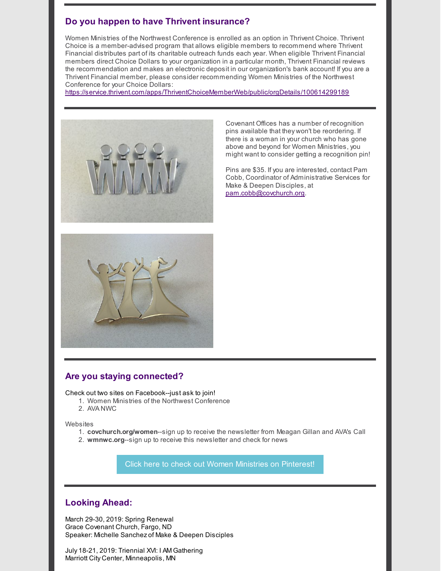# **Do you happen to have Thrivent insurance?**

Women Ministries of the Northwest Conference is enrolled as an option in Thrivent Choice. Thrivent Choice is a member-advised program that allows eligible members to recommend where Thrivent Financial distributes part of its charitable outreach funds each year. When eligible Thrivent Financial members direct Choice Dollars to your organization in a particular month, Thrivent Financial reviews the recommendation and makes an electronic deposit in our organization's bank account! If you are a Thrivent Financial member, please consider recommending Women Ministries of the Northwest Conference for your Choice Dollars:

<https://service.thrivent.com/apps/ThriventChoiceMemberWeb/public/orgDetails/100614299189>



Covenant Offices has a number of recognition pins available that they won't be reordering. If there is a woman in your church who has gone above and beyond for Women Ministries, you might want to consider getting a recognition pin!

Pins are \$35. If you are interested, contact Pam Cobb, Coordinator of Administrative Services for Make & Deepen Disciples, at [pam.cobb@covchurch.org](mailto:pam.cobb@covchurch.org).



## **Are you staying connected?**

Check out two sites on Facebook--just ask to join!

- 1. Women Ministries of the Northwest Conference
- 2. AVA NWC

Websites

- 1. **covchurch.org/women**--sign up to receive the newsletter from Meagan Gillan and AVA's Call
- 2. **wmnwc.org**--sign up to receive this newsletter and check for news

Click here to check out Women Ministries on [Pinterest!](http://www.pinterest.com/womenministries)

## **Looking Ahead:**

March 29-30, 2019: Spring Renewal Grace Covenant Church, Fargo, ND Speaker: Michelle Sanchez of Make & Deepen Disciples

July 18-21, 2019: Triennial XVI: I AM Gathering Marriott City Center, Minneapolis, MN